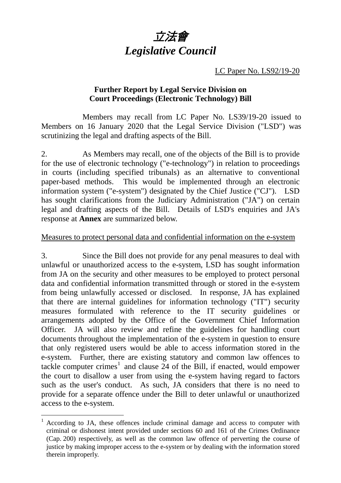

LC Paper No. LS92/19-20

### **Further Report by Legal Service Division on Court Proceedings (Electronic Technology) Bill**

Members may recall from LC Paper No. LS39/19-20 issued to Members on 16 January 2020 that the Legal Service Division ("LSD") was scrutinizing the legal and drafting aspects of the Bill.

2. As Members may recall, one of the objects of the Bill is to provide for the use of electronic technology ("e-technology") in relation to proceedings in courts (including specified tribunals) as an alternative to conventional paper-based methods. This would be implemented through an electronic information system ("e-system") designated by the Chief Justice ("CJ"). LSD has sought clarifications from the Judiciary Administration ("JA") on certain legal and drafting aspects of the Bill. Details of LSD's enquiries and JA's response at **Annex** are summarized below.

#### Measures to protect personal data and confidential information on the e-system

3. Since the Bill does not provide for any penal measures to deal with unlawful or unauthorized access to the e-system, LSD has sought information from JA on the security and other measures to be employed to protect personal data and confidential information transmitted through or stored in the e-system from being unlawfully accessed or disclosed. In response, JA has explained that there are internal guidelines for information technology ("IT") security measures formulated with reference to the IT security guidelines or arrangements adopted by the Office of the Government Chief Information Officer. JA will also review and refine the guidelines for handling court documents throughout the implementation of the e-system in question to ensure that only registered users would be able to access information stored in the e-system. Further, there are existing statutory and common law offences to tackle computer crimes<sup>[1](#page-0-0)</sup> and clause 24 of the Bill, if enacted, would empower the court to disallow a user from using the e-system having regard to factors such as the user's conduct. As such, JA considers that there is no need to provide for a separate offence under the Bill to deter unlawful or unauthorized access to the e-system.

<span id="page-0-0"></span> $1$  According to JA, these offences include criminal damage and access to computer with criminal or dishonest intent provided under sections 60 and 161 of the Crimes Ordinance (Cap. 200) respectively, as well as the common law offence of perverting the course of justice by making improper access to the e-system or by dealing with the information stored therein improperly.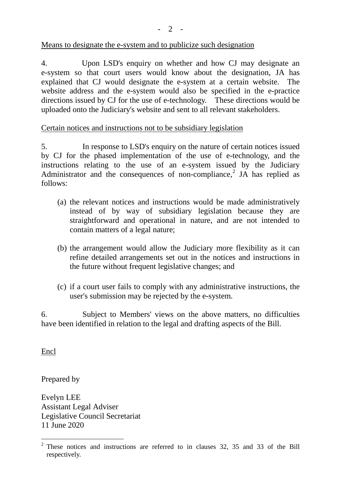- 2 -

### Means to designate the e-system and to publicize such designation

4. Upon LSD's enquiry on whether and how CJ may designate an e-system so that court users would know about the designation, JA has explained that CJ would designate the e-system at a certain website. The website address and the e-system would also be specified in the e-practice directions issued by CJ for the use of e-technology. These directions would be uploaded onto the Judiciary's website and sent to all relevant stakeholders.

### Certain notices and instructions not to be subsidiary legislation

5. In response to LSD's enquiry on the nature of certain notices issued by CJ for the phased implementation of the use of e-technology, and the instructions relating to the use of an e-system issued by the Judiciary Administrator and the consequences of non-compliance, [2](#page-1-0) JA has replied as follows:

- (a) the relevant notices and instructions would be made administratively instead of by way of subsidiary legislation because they are straightforward and operational in nature, and are not intended to contain matters of a legal nature;
- (b) the arrangement would allow the Judiciary more flexibility as it can refine detailed arrangements set out in the notices and instructions in the future without frequent legislative changes; and
- (c) if a court user fails to comply with any administrative instructions, the user's submission may be rejected by the e-system.

6. Subject to Members' views on the above matters, no difficulties have been identified in relation to the legal and drafting aspects of the Bill.

Encl

Prepared by

Evelyn LEE Assistant Legal Adviser Legislative Council Secretariat 11 June 2020

<span id="page-1-0"></span> <sup>2</sup> These notices and instructions are referred to in clauses 32, 35 and 33 of the Bill respectively.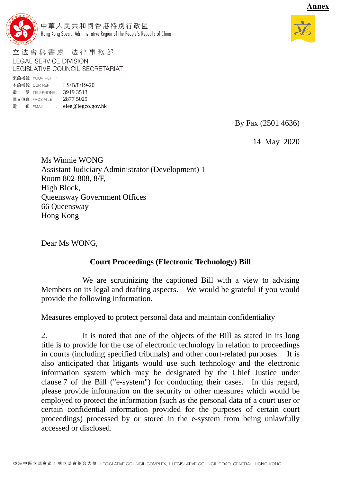

立法會秘書處 法律事務部 **LEGAL SERVICE DIVISION** LEGISLATIVE COUNCIL SECRETARIAT 來函檔號 YOUR REF :

本函檔號 OUR REF : LS/B/8/19-20 電 話 TELEPHONE: 3919 3513 圖文傳真 FACSIMILE : 2877 5029 電 郵 EMAIL : elee@legco.gov.hk

By Fax (2501 4636)

14 May 2020

Ms Winnie WONG Assistant Judiciary Administrator (Development) 1 Room 802-808, 8/F, High Block, Queensway Government Offices 66 Queensway Hong Kong

Dear Ms WONG,

## **Court Proceedings (Electronic Technology) Bill**

We are scrutinizing the captioned Bill with a view to advising Members on its legal and drafting aspects. We would be grateful if you would provide the following information.

#### Measures employed to protect personal data and maintain confidentiality

2. It is noted that one of the objects of the Bill as stated in its long title is to provide for the use of electronic technology in relation to proceedings in courts (including specified tribunals) and other court-related purposes. It is also anticipated that litigants would use such technology and the electronic information system which may be designated by the Chief Justice under clause 7 of the Bill ("e-system") for conducting their cases. In this regard, please provide information on the security or other measures which would be employed to protect the information (such as the personal data of a court user or certain confidential information provided for the purposes of certain court proceedings) processed by or stored in the e-system from being unlawfully accessed or disclosed.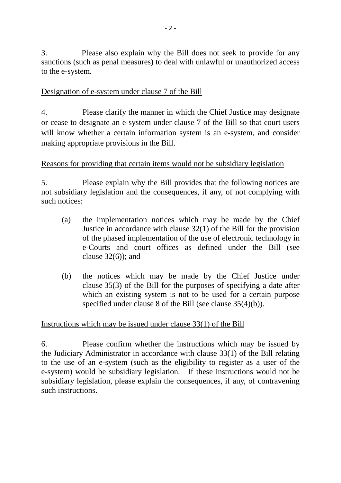3. Please also explain why the Bill does not seek to provide for any sanctions (such as penal measures) to deal with unlawful or unauthorized access to the e-system.

## Designation of e-system under clause 7 of the Bill

4. Please clarify the manner in which the Chief Justice may designate or cease to designate an e-system under clause 7 of the Bill so that court users will know whether a certain information system is an e-system, and consider making appropriate provisions in the Bill.

# Reasons for providing that certain items would not be subsidiary legislation

5. Please explain why the Bill provides that the following notices are not subsidiary legislation and the consequences, if any, of not complying with such notices:

- (a) the implementation notices which may be made by the Chief Justice in accordance with clause 32(1) of the Bill for the provision of the phased implementation of the use of electronic technology in e-Courts and court offices as defined under the Bill (see clause  $32(6)$ ; and
- (b) the notices which may be made by the Chief Justice under clause 35(3) of the Bill for the purposes of specifying a date after which an existing system is not to be used for a certain purpose specified under clause 8 of the Bill (see clause 35(4)(b)).

## Instructions which may be issued under clause 33(1) of the Bill

6. Please confirm whether the instructions which may be issued by the Judiciary Administrator in accordance with clause 33(1) of the Bill relating to the use of an e-system (such as the eligibility to register as a user of the e-system) would be subsidiary legislation. If these instructions would not be subsidiary legislation, please explain the consequences, if any, of contravening such instructions.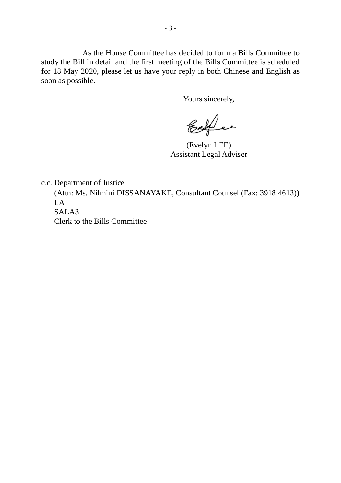As the House Committee has decided to form a Bills Committee to study the Bill in detail and the first meeting of the Bills Committee is scheduled for 18 May 2020, please let us have your reply in both Chinese and English as soon as possible.

Yours sincerely,

Evelyn er

(Evelyn LEE) Assistant Legal Adviser

c.c. Department of Justice

(Attn: Ms. Nilmini DISSANAYAKE, Consultant Counsel (Fax: 3918 4613)) LA SALA3 Clerk to the Bills Committee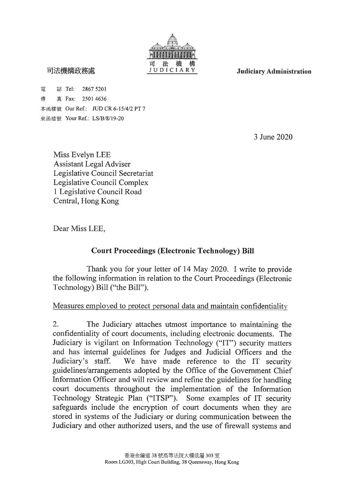

司法機構政務處

電 話 Tel: 2867 5201 傳 真 Fax: 2501 4636 本函檔號 Our Ref.: JUD CR 6-15/4/2 PT 7 來函檔號 Your Ref.: LS/B/8/19-20

3 June 2020

**Judiciary Administration** 

Miss Evelyn LEE **Assistant Legal Adviser** Legislative Council Secretariat Legislative Council Complex 1 Legislative Council Road Central, Hong Kong

Dear Miss LEE,

## **Court Proceedings (Electronic Technology) Bill**

Thank you for your letter of 14 May 2020. I write to provide the following information in relation to the Court Proceedings (Electronic Technology) Bill ("the Bill").

#### Measures employed to protect personal data and maintain confidentiality

2. The Judiciary attaches utmost importance to maintaining the confidentiality of court documents, including electronic documents. The Judiciary is vigilant on Information Technology ("IT") security matters and has internal guidelines for Judges and Judicial Officers and the We have made reference to the IT security Judiciary's staff. guidelines/arrangements adopted by the Office of the Government Chief Information Officer and will review and refine the guidelines for handling court documents throughout the implementation of the Information Technology Strategic Plan ("ITSP"). Some examples of IT security safeguards include the encryption of court documents when they are stored in systems of the Judiciary or during communication between the Judiciary and other authorized users, and the use of firewall systems and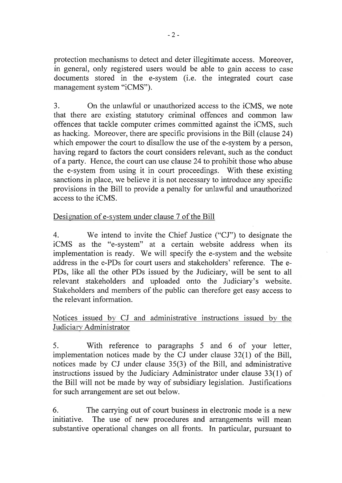protection mechanisms to detect and deter illegitimate access. Moreover, in general, only registered users would be able to gain access to case documents stored in the e-system (i.e. the integrated court case management system "iCMS").

 $3.$ On the unlawful or unauthorized access to the iCMS, we note that there are existing statutory criminal offences and common law offences that tackle computer crimes committed against the iCMS, such as hacking. Moreover, there are specific provisions in the Bill (clause 24) which empower the court to disallow the use of the e-system by a person. having regard to factors the court considers relevant, such as the conduct of a party. Hence, the court can use clause 24 to prohibit those who abuse the e-system from using it in court proceedings. With these existing sanctions in place, we believe it is not necessary to introduce any specific provisions in the Bill to provide a penalty for unlawful and unauthorized access to the iCMS.

#### Designation of e-system under clause 7 of the Bill

We intend to invite the Chief Justice ("CJ") to designate the  $\overline{4}$ . iCMS as the "e-system" at a certain website address when its implementation is ready. We will specify the e-system and the website address in the e-PDs for court users and stakeholders' reference. The e-PDs, like all the other PDs issued by the Judiciary, will be sent to all relevant stakeholders and uploaded onto the Judiciary's website. Stakeholders and members of the public can therefore get easy access to the relevant information.

Notices issued by CJ and administrative instructions issued by the Judiciary Administrator

With reference to paragraphs 5 and 6 of your letter,  $5<sub>1</sub>$ implementation notices made by the CJ under clause  $32(1)$  of the Bill, notices made by CJ under clause 35(3) of the Bill, and administrative instructions issued by the Judiciary Administrator under clause 33(1) of the Bill will not be made by way of subsidiary legislation. Justifications for such arrangement are set out below.

The carrying out of court business in electronic mode is a new 6. The use of new procedures and arrangements will mean initiative. substantive operational changes on all fronts. In particular, pursuant to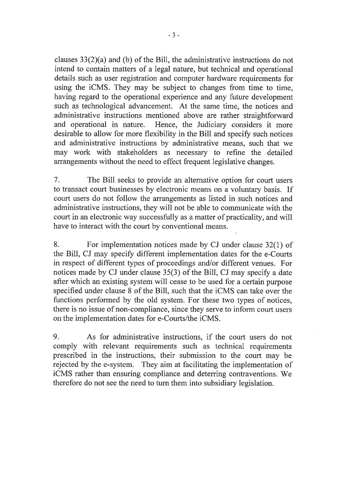clauses  $33(2)(a)$  and (b) of the Bill, the administrative instructions do not intend to contain matters of a legal nature, but technical and operational details such as user registration and computer hardware requirements for using the iCMS. They may be subject to changes from time to time, having regard to the operational experience and any future development such as technological advancement. At the same time, the notices and administrative instructions mentioned above are rather straightforward and operational in nature. Hence, the Judiciary considers it more desirable to allow for more flexibility in the Bill and specify such notices and administrative instructions by administrative means, such that we may work with stakeholders as necessary to refine the detailed arrangements without the need to effect frequent legislative changes.

 $7<sub>1</sub>$ The Bill seeks to provide an alternative option for court users to transact court businesses by electronic means on a voluntary basis. If court users do not follow the arrangements as listed in such notices and administrative instructions, they will not be able to communicate with the court in an electronic way successfully as a matter of practicality, and will have to interact with the court by conventional means.

For implementation notices made by CJ under clause 32(1) of 8. the Bill, CJ may specify different implementation dates for the e-Courts in respect of different types of proceedings and/or different venues. For notices made by CJ under clause 35(3) of the Bill, CJ may specify a date after which an existing system will cease to be used for a certain purpose specified under clause 8 of the Bill, such that the iCMS can take over the functions performed by the old system. For these two types of notices, there is no issue of non-compliance, since they serve to inform court users on the implementation dates for e-Courts/the iCMS.

9. As for administrative instructions, if the court users do not comply with relevant requirements such as technical requirements prescribed in the instructions, their submission to the court may be rejected by the e-system. They aim at facilitating the implementation of iCMS rather than ensuring compliance and deterring contraventions. We therefore do not see the need to turn them into subsidiary legislation.